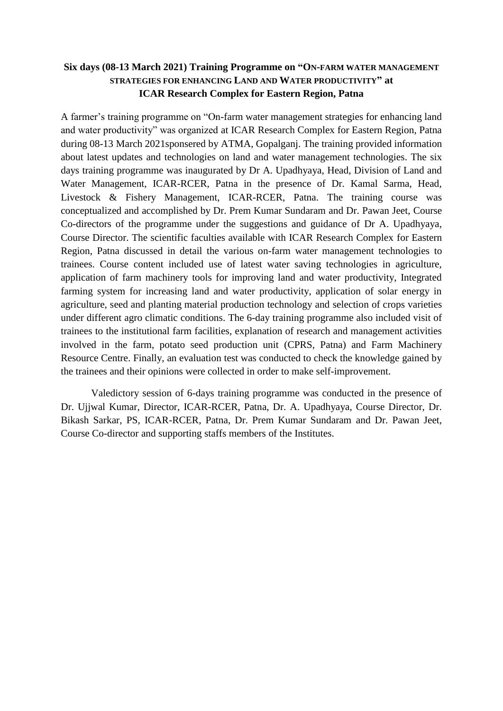## **Six days (08-13 March 2021) Training Programme on "ON-FARM WATER MANAGEMENT STRATEGIES FOR ENHANCING LAND AND WATER PRODUCTIVITY" at ICAR Research Complex for Eastern Region, Patna**

A farmer's training programme on "On-farm water management strategies for enhancing land and water productivity" was organized at ICAR Research Complex for Eastern Region, Patna during 08-13 March 2021sponsered by ATMA, Gopalganj. The training provided information about latest updates and technologies on land and water management technologies. The six days training programme was inaugurated by Dr A. Upadhyaya, Head, Division of Land and Water Management, ICAR-RCER, Patna in the presence of Dr. Kamal Sarma, Head, Livestock & Fishery Management, ICAR-RCER, Patna. The training course was conceptualized and accomplished by Dr. Prem Kumar Sundaram and Dr. Pawan Jeet, Course Co-directors of the programme under the suggestions and guidance of Dr A. Upadhyaya, Course Director. The scientific faculties available with ICAR Research Complex for Eastern Region, Patna discussed in detail the various on-farm water management technologies to trainees. Course content included use of latest water saving technologies in agriculture, application of farm machinery tools for improving land and water productivity, Integrated farming system for increasing land and water productivity, application of solar energy in agriculture, seed and planting material production technology and selection of crops varieties under different agro climatic conditions. The 6-day training programme also included visit of trainees to the institutional farm facilities, explanation of research and management activities involved in the farm, potato seed production unit (CPRS, Patna) and Farm Machinery Resource Centre. Finally, an evaluation test was conducted to check the knowledge gained by the trainees and their opinions were collected in order to make self-improvement.

Valedictory session of 6-days training programme was conducted in the presence of Dr. Ujjwal Kumar, Director, ICAR-RCER, Patna, Dr. A. Upadhyaya, Course Director, Dr. Bikash Sarkar, PS, ICAR-RCER, Patna, Dr. Prem Kumar Sundaram and Dr. Pawan Jeet, Course Co-director and supporting staffs members of the Institutes.